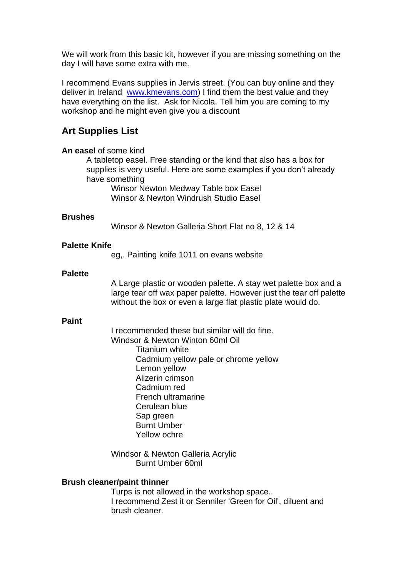We will work from this basic kit, however if you are missing something on the day I will have some extra with me.

I recommend Evans supplies in Jervis street. (You can buy online and they deliver in Ireland [www.kmevans.com\)](http://www.kmevans.com/) I find them the best value and they have everything on the list. Ask for Nicola. Tell him you are coming to my workshop and he might even give you a discount

# **Art Supplies List**

## **An easel** of some kind

A tabletop easel. Free standing or the kind that also has a box for supplies is very useful. Here are some examples if you don't already have something

Winsor Newton Medway Table box Easel Winsor & Newton Windrush Studio Easel

### **Brushes**

Winsor & Newton Galleria Short Flat no 8, 12 & 14

### **Palette Knife**

eg,. Painting knife 1011 on evans website

### **Palette**

A Large plastic or wooden palette. A stay wet palette box and a large tear off wax paper palette. However just the tear off palette without the box or even a large flat plastic plate would do.

### **Paint**

I recommended these but similar will do fine. Windsor & Newton Winton 60ml Oil Titanium white Cadmium yellow pale or chrome yellow Lemon yellow Alizerin crimson Cadmium red French ultramarine Cerulean blue Sap green Burnt Umber Yellow ochre

Windsor & Newton Galleria Acrylic Burnt Umber 60ml

### **Brush cleaner/paint thinner**

Turps is not allowed in the workshop space.. I recommend Zest it or Senniler 'Green for Oil', diluent and brush cleaner.